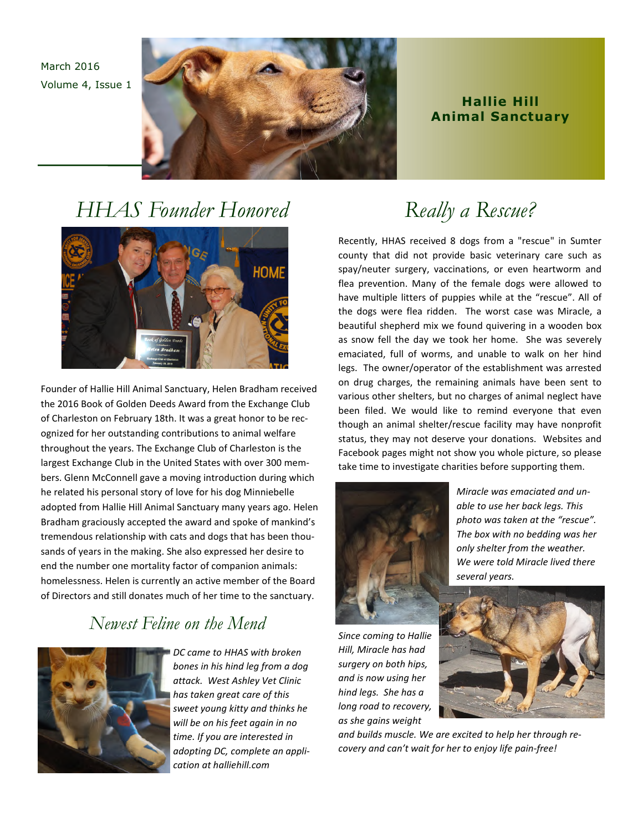March 2016 Volume 4, Issue 1



### **Highlights Hallie Hill Animal Sanctuary**

## *HHAS Founder Honored*



Founder of Hallie Hill Animal Sanctuary, Helen Bradham received the 2016 Book of Golden Deeds Award from the Exchange Club of Charleston on February 18th. It was a great honor to be recognized for her outstanding contributions to animal welfare throughout the years. The Exchange Club of Charleston is the largest Exchange Club in the United States with over 300 members. Glenn McConnell gave a moving introduction during which he related his personal story of love for his dog Minniebelle adopted from Hallie Hill Animal Sanctuary many years ago. Helen Bradham graciously accepted the award and spoke of mankind's tremendous relationship with cats and dogs that has been thousands of years in the making. She also expressed her desire to end the number one mortality factor of companion animals: homelessness. Helen is currently an active member of the Board of Directors and still donates much of her time to the sanctuary.

## *Newest Feline on the Mend*



*DC came to HHAS with broken bones in his hind leg from a dog attack. West Ashley Vet Clinic has taken great care of this sweet young kitty and thinks he will be on his feet again in no time. If you are interested in adopting DC, complete an application at halliehill.com* 

# *Really a Rescue?*

Recently, HHAS received 8 dogs from a "rescue" in Sumter county that did not provide basic veterinary care such as spay/neuter surgery, vaccinations, or even heartworm and flea prevention. Many of the female dogs were allowed to have multiple litters of puppies while at the "rescue". All of the dogs were flea ridden. The worst case was Miracle, a beautiful shepherd mix we found quivering in a wooden box as snow fell the day we took her home. She was severely emaciated, full of worms, and unable to walk on her hind legs. The owner/operator of the establishment was arrested on drug charges, the remaining animals have been sent to various other shelters, but no charges of animal neglect have been filed. We would like to remind everyone that even though an animal shelter/rescue facility may have nonprofit status, they may not deserve your donations. Websites and Facebook pages might not show you whole picture, so please take time to investigate charities before supporting them.



*Miracle was emaciated and unable to use her back legs. This photo was taken at the "rescue". The box with no bedding was her only shelter from the weather. We were told Miracle lived there several years.* 

*Since coming to Hallie Hill, Miracle has had surgery on both hips, and is now using her hind legs. She has a long road to recovery, as she gains weight* 

*and builds muscle. We are excited to help her through recovery and can't wait for her to enjoy life pain-free!*